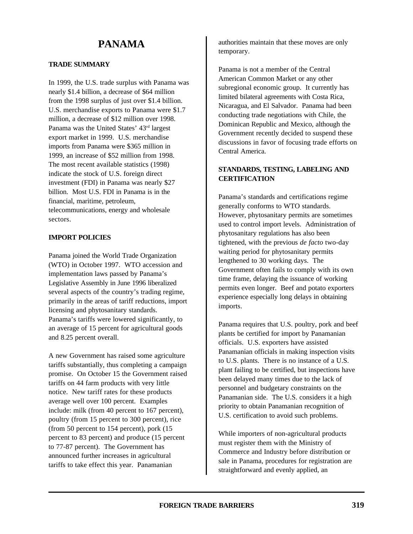# **PANAMA**

## **TRADE SUMMARY**

In 1999, the U.S. trade surplus with Panama was nearly \$1.4 billion, a decrease of \$64 million from the 1998 surplus of just over \$1.4 billion. U.S. merchandise exports to Panama were \$1.7 million, a decrease of \$12 million over 1998. Panama was the United States' 43rd largest export market in 1999. U.S. merchandise imports from Panama were \$365 million in 1999, an increase of \$52 million from 1998. The most recent available statistics (1998) indicate the stock of U.S. foreign direct investment (FDI) in Panama was nearly \$27 billion. Most U.S. FDI in Panama is in the financial, maritime, petroleum, telecommunications, energy and wholesale sectors.

## **IMPORT POLICIES**

Panama joined the World Trade Organization (WTO) in October 1997. WTO accession and implementation laws passed by Panama's Legislative Assembly in June 1996 liberalized several aspects of the country's trading regime, primarily in the areas of tariff reductions, import licensing and phytosanitary standards. Panama's tariffs were lowered significantly, to an average of 15 percent for agricultural goods and 8.25 percent overall.

A new Government has raised some agriculture tariffs substantially, thus completing a campaign promise. On October 15 the Government raised tariffs on 44 farm products with very little notice. New tariff rates for these products average well over 100 percent. Examples include: milk (from 40 percent to 167 percent), poultry (from 15 percent to 300 percent), rice (from 50 percent to 154 percent), pork (15 percent to 83 percent) and produce (15 percent to 77-87 percent). The Government has announced further increases in agricultural tariffs to take effect this year. Panamanian

authorities maintain that these moves are only temporary.

Panama is not a member of the Central American Common Market or any other subregional economic group. It currently has limited bilateral agreements with Costa Rica, Nicaragua, and El Salvador. Panama had been conducting trade negotiations with Chile, the Dominican Republic and Mexico, although the Government recently decided to suspend these discussions in favor of focusing trade efforts on Central America.

# **STANDARDS, TESTING, LABELING AND CERTIFICATION**

Panama's standards and certifications regime generally conforms to WTO standards. However, phytosanitary permits are sometimes used to control import levels. Administration of phytosanitary regulations has also been tightened, with the previous *de facto* two-day waiting period for phytosanitary permits lengthened to 30 working days. The Government often fails to comply with its own time frame, delaying the issuance of working permits even longer. Beef and potato exporters experience especially long delays in obtaining imports.

Panama requires that U.S. poultry, pork and beef plants be certified for import by Panamanian officials. U.S. exporters have assisted Panamanian officials in making inspection visits to U.S. plants. There is no instance of a U.S. plant failing to be certified, but inspections have been delayed many times due to the lack of personnel and budgetary constraints on the Panamanian side. The U.S. considers it a high priority to obtain Panamanian recognition of U.S. certification to avoid such problems.

While importers of non-agricultural products must register them with the Ministry of Commerce and Industry before distribution or sale in Panama, procedures for registration are straightforward and evenly applied, an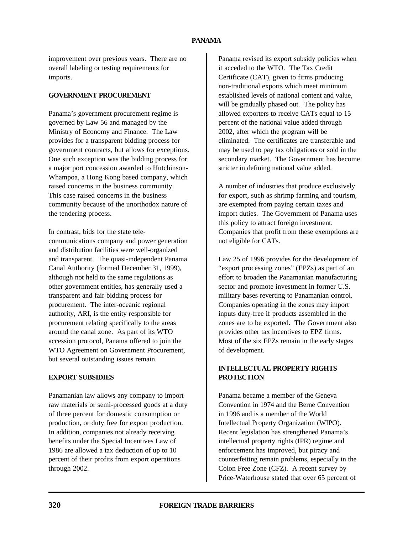improvement over previous years. There are no overall labeling or testing requirements for imports.

## **GOVERNMENT PROCUREMENT**

Panama's government procurement regime is governed by Law 56 and managed by the Ministry of Economy and Finance. The Law provides for a transparent bidding process for government contracts, but allows for exceptions. One such exception was the bidding process for a major port concession awarded to Hutchinson-Whampoa, a Hong Kong based company, which raised concerns in the business community. This case raised concerns in the business community because of the unorthodox nature of the tendering process.

In contrast, bids for the state telecommunications company and power generation and distribution facilities were well-organized and transparent. The quasi-independent Panama Canal Authority (formed December 31, 1999), although not held to the same regulations as other government entities, has generally used a transparent and fair bidding process for procurement. The inter-oceanic regional authority, ARI, is the entity responsible for procurement relating specifically to the areas around the canal zone. As part of its WTO accession protocol, Panama offered to join the WTO Agreement on Government Procurement, but several outstanding issues remain.

#### **EXPORT SUBSIDIES**

Panamanian law allows any company to import raw materials or semi-processed goods at a duty of three percent for domestic consumption or production, or duty free for export production. In addition, companies not already receiving benefits under the Special Incentives Law of 1986 are allowed a tax deduction of up to 10 percent of their profits from export operations through 2002.

Panama revised its export subsidy policies when it acceded to the WTO. The Tax Credit Certificate (CAT), given to firms producing non-traditional exports which meet minimum established levels of national content and value, will be gradually phased out. The policy has allowed exporters to receive CATs equal to 15 percent of the national value added through 2002, after which the program will be eliminated. The certificates are transferable and may be used to pay tax obligations or sold in the secondary market. The Government has become stricter in defining national value added.

A number of industries that produce exclusively for export, such as shrimp farming and tourism, are exempted from paying certain taxes and import duties. The Government of Panama uses this policy to attract foreign investment. Companies that profit from these exemptions are not eligible for CATs.

Law 25 of 1996 provides for the development of "export processing zones" (EPZs) as part of an effort to broaden the Panamanian manufacturing sector and promote investment in former U.S. military bases reverting to Panamanian control. Companies operating in the zones may import inputs duty-free if products assembled in the zones are to be exported. The Government also provides other tax incentives to EPZ firms. Most of the six EPZs remain in the early stages of development.

# **INTELLECTUAL PROPERTY RIGHTS PROTECTION**

Panama became a member of the Geneva Convention in 1974 and the Berne Convention in 1996 and is a member of the World Intellectual Property Organization (WIPO). Recent legislation has strengthened Panama's intellectual property rights (IPR) regime and enforcement has improved, but piracy and counterfeiting remain problems, especially in the Colon Free Zone (CFZ). A recent survey by Price-Waterhouse stated that over 65 percent of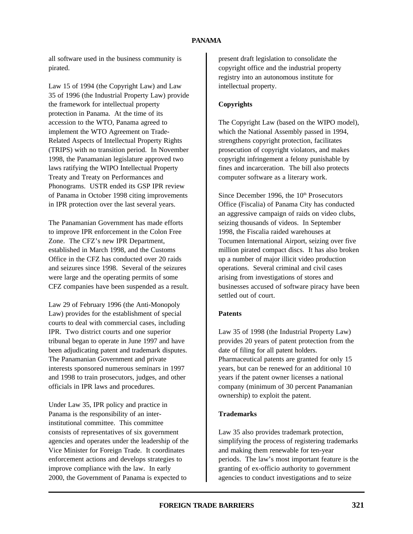#### **PANAMA**

all software used in the business community is pirated.

Law 15 of 1994 (the Copyright Law) and Law 35 of 1996 (the Industrial Property Law) provide the framework for intellectual property protection in Panama. At the time of its accession to the WTO, Panama agreed to implement the WTO Agreement on Trade-Related Aspects of Intellectual Property Rights (TRIPS) with no transition period. In November 1998, the Panamanian legislature approved two laws ratifying the WIPO Intellectual Property Treaty and Treaty on Performances and Phonograms. USTR ended its GSP IPR review of Panama in October 1998 citing improvements in IPR protection over the last several years.

The Panamanian Government has made efforts to improve IPR enforcement in the Colon Free Zone. The CFZ's new IPR Department, established in March 1998, and the Customs Office in the CFZ has conducted over 20 raids and seizures since 1998. Several of the seizures were large and the operating permits of some CFZ companies have been suspended as a result.

Law 29 of February 1996 (the Anti-Monopoly Law) provides for the establishment of special courts to deal with commercial cases, including IPR. Two district courts and one superior tribunal began to operate in June 1997 and have been adjudicating patent and trademark disputes. The Panamanian Government and private interests sponsored numerous seminars in 1997 and 1998 to train prosecutors, judges, and other officials in IPR laws and procedures.

Under Law 35, IPR policy and practice in Panama is the responsibility of an interinstitutional committee. This committee consists of representatives of six government agencies and operates under the leadership of the Vice Minister for Foreign Trade. It coordinates enforcement actions and develops strategies to improve compliance with the law. In early 2000, the Government of Panama is expected to

present draft legislation to consolidate the copyright office and the industrial property registry into an autonomous institute for intellectual property.

## **Copyrights**

The Copyright Law (based on the WIPO model), which the National Assembly passed in 1994, strengthens copyright protection, facilitates prosecution of copyright violators, and makes copyright infringement a felony punishable by fines and incarceration. The bill also protects computer software as a literary work.

Since December 1996, the  $10<sup>th</sup>$  Prosecutors Office (Fiscalia) of Panama City has conducted an aggressive campaign of raids on video clubs, seizing thousands of videos. In September 1998, the Fiscalia raided warehouses at Tocumen International Airport, seizing over five million pirated compact discs. It has also broken up a number of major illicit video production operations. Several criminal and civil cases arising from investigations of stores and businesses accused of software piracy have been settled out of court.

#### **Patents**

Law 35 of 1998 (the Industrial Property Law) provides 20 years of patent protection from the date of filing for all patent holders. Pharmaceutical patents are granted for only 15 years, but can be renewed for an additional 10 years if the patent owner licenses a national company (minimum of 30 percent Panamanian ownership) to exploit the patent.

# **Trademarks**

Law 35 also provides trademark protection, simplifying the process of registering trademarks and making them renewable for ten-year periods. The law's most important feature is the granting of ex-officio authority to government agencies to conduct investigations and to seize